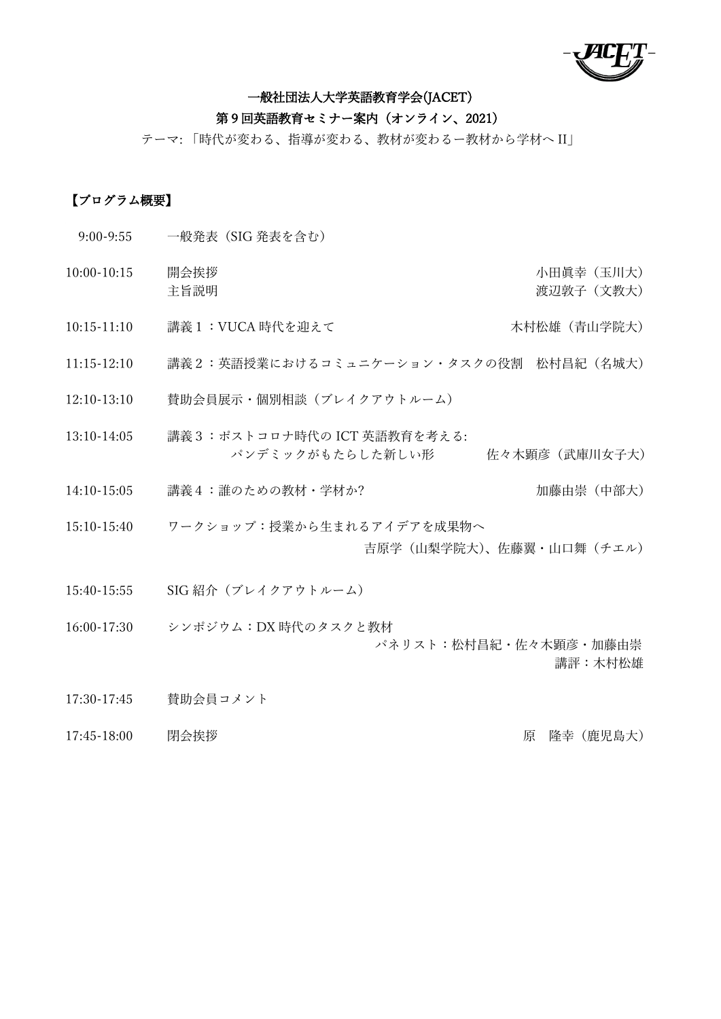## 一般社団法人大学英語教育学会(JACET)

## 第9回英語教育セミナー案内(オンライン、2021)

テーマ: 「時代が変わる、指導が変わる、教材が変わるー教材から学材へ II」

## 【プログラム概要】

- 9:00-9:55 一般発表 (SIG 発表を含む)
- 10:00-10:15 開会挨拶 小田眞幸(玉川大) 主旨説明 まんじょう しょうしゃ アンチュー エンジェン おおおお 渡辺敦子 (文教大)
- 10:15-11:10 講義 1 : VUCA 時代を迎えて インスティング おおし 木村松雄 (青山学院大)
- 11:15-12:10 講義2:英語授業におけるコミュニケーション・タスクの役割 松村昌紀(名城大)
- 12:10-13:10 賛助会員展示・個別相談(ブレイクアウトルーム)
- 13:10-14:05 講義3:ポストコロナ時代の ICT 英語教育を考える: パンデミックがもたらした新しい形 佐々木顕彦(武庫川女子大)
- 14:10-15:05 講義 4 : 誰のための教材・学材か? オンディング おかし 加藤由崇 (中部大)
- 15:10-15:40 ワークショップ:授業から生まれるアイデアを成果物へ 吉原学(山梨学院大)、佐藤翼・山口舞(チエル)
- 15:40-15:55 SIG 紹介(ブレイクアウトルーム)
- 16:00-17:30 シンポジウム:DX 時代のタスクと教材 パネリスト:松村昌紀・佐々木顕彦・加藤由崇 講評:木村松雄
- 17:30-17:45 賛助会員コメント
- 17:45-18:00 閉会挨拶 アンチョウ アンチョウ アンチョウ 原 降幸 (鹿児島大)